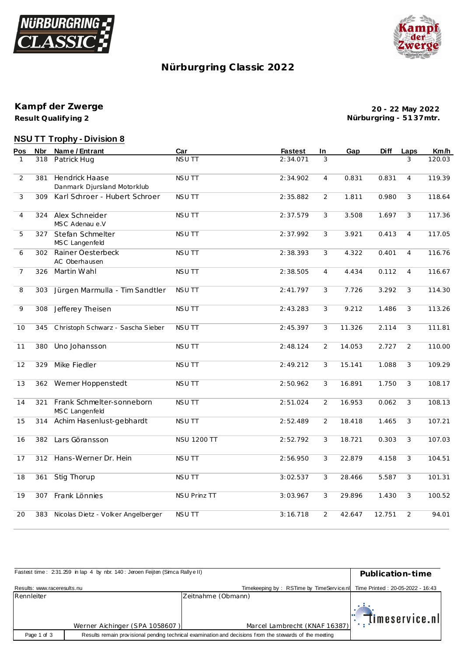



## **Nürburgring C lassic 2022**

**Result Qualify ing 2 Kampf der Zwerge**

**20 - 22 May 2022 Nürburgring - 51 37mtr.**

# **NSU TT Trophy - Division 8**

| Pos            | Nbr | Name / Entrant                                       | Car                 | <b>Fastest</b> | In             | Gap    | Diff   | Laps           | Km/h   |
|----------------|-----|------------------------------------------------------|---------------------|----------------|----------------|--------|--------|----------------|--------|
| 1              | 318 | Patrick Hug                                          | <b>NSUTT</b>        | 2:34.071       | 3              |        |        | 3              | 120.03 |
| $\overline{2}$ | 381 | <b>Hendrick Haase</b><br>Danmark Djursland Motorklub | <b>NSUTT</b>        | 2:34.902       | $\overline{4}$ | 0.831  | 0.831  | $\overline{4}$ | 119.39 |
| 3              | 309 | Karl Schroer - Hubert Schroer                        | <b>NSUTT</b>        | 2:35.882       | 2              | 1.811  | 0.980  | 3              | 118.64 |
| 4              | 324 | Alex Schneider<br>MSC Adenau e.V                     | NSU TT              | 2:37.579       | 3              | 3.508  | 1.697  | 3              | 117.36 |
| 5              | 327 | Stefan Schmelter<br>MSC Langenfeld                   | NSU TT              | 2:37.992       | 3              | 3.921  | 0.413  | $\overline{4}$ | 117.05 |
| 6              | 302 | Rainer Oesterbeck<br>AC Oberhausen                   | NSU TT              | 2:38.393       | 3              | 4.322  | 0.401  | $\overline{4}$ | 116.76 |
| $\overline{7}$ | 326 | Martin Wahl                                          | <b>NSUTT</b>        | 2:38.505       | $\overline{4}$ | 4.434  | 0.112  | $\overline{4}$ | 116.67 |
| 8              | 303 | Jürgen Marmulla - Tim Sandtler                       | <b>NSUTT</b>        | 2:41.797       | 3              | 7.726  | 3.292  | 3              | 114.30 |
| 9              | 308 | Jefferey Theisen                                     | NSU TT              | 2:43.283       | 3              | 9.212  | 1.486  | 3              | 113.26 |
| 10             | 345 | Christoph Schwarz - Sascha Sieber                    | <b>NSUTT</b>        | 2:45.397       | 3              | 11.326 | 2.114  | 3              | 111.81 |
| 11             | 380 | Uno Johansson                                        | <b>NSUTT</b>        | 2:48.124       | 2              | 14.053 | 2.727  | 2              | 110.00 |
| 12             | 329 | Mike Fiedler                                         | NSU TT              | 2:49.212       | 3              | 15.141 | 1.088  | 3              | 109.29 |
| 13             | 362 | Werner Hoppenstedt                                   | <b>NSUTT</b>        | 2:50.962       | 3              | 16.891 | 1.750  | 3              | 108.17 |
| 14             | 321 | Frank Schmelter-sonneborn<br>MSC Langenfeld          | <b>NSUTT</b>        | 2:51.024       | $\overline{2}$ | 16.953 | 0.062  | 3              | 108.13 |
| 15             | 314 | Achim Hasenlust-gebhardt                             | NSU TT              | 2:52.489       | 2              | 18.418 | 1.465  | 3              | 107.21 |
| 16             | 382 | Lars Göransson                                       | <b>NSU 1200 TT</b>  | 2:52.792       | 3              | 18.721 | 0.303  | 3              | 107.03 |
| 17             | 312 | Hans-Werner Dr. Hein                                 | <b>NSUTT</b>        | 2:56.950       | 3              | 22.879 | 4.158  | 3              | 104.51 |
| 18             | 361 | Stig Thorup                                          | NSU TT              | 3:02.537       | 3              | 28.466 | 5.587  | 3              | 101.31 |
| 19             | 307 | Frank Lönnies                                        | <b>NSU Prinz TT</b> | 3:03.967       | 3              | 29.896 | 1.430  | 3              | 100.52 |
| 20             | 383 | Nicolas Dietz - Volker Angelberger                   | <b>NSUTT</b>        | 3:16.718       | 2              | 42.647 | 12.751 | 2              | 94.01  |
|                |     |                                                      |                     |                |                |        |        |                |        |

| Fastest time: 231.259 in lap 4 by nbr. 140: Jeroen Feijten (Simca Rallye II) | Publication-time               |                                                                                                         |                                          |
|------------------------------------------------------------------------------|--------------------------------|---------------------------------------------------------------------------------------------------------|------------------------------------------|
| Results: www.raceresults.nu                                                  |                                | Timekeeping by: RSTime by TimeService.nl                                                                | Time Printed: 20-05-2022 - 16:43         |
| Rennleiter                                                                   |                                | Zeitnahme (Obmann)                                                                                      |                                          |
|                                                                              |                                |                                                                                                         | $\mathbb{E}[\mathbb{R}^d]$ imeservice.nl |
|                                                                              | Werner Aichinger (SPA 1058607) | Marcel Lambrecht (KNAF 16387)                                                                           |                                          |
| Page 1 of 3                                                                  |                                | Results remain provisional pending technical examination and decisions from the stewards of the meeting |                                          |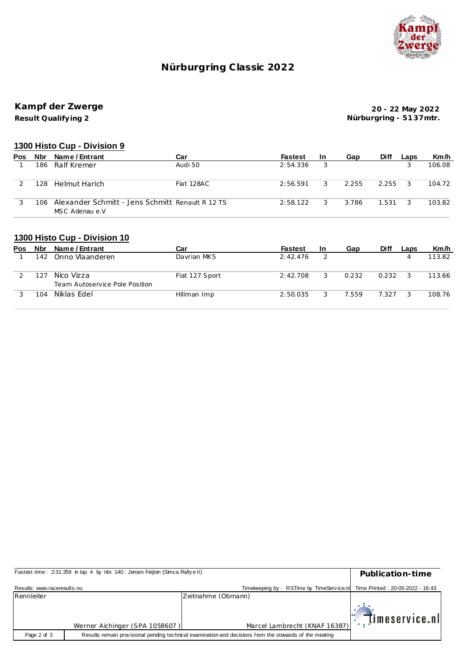

## **Nürburgring C lassic 2022**

# **Kampf der Zwerge**

**Result Qualify ing 2**

**20 - 22 May 2022 Nürburgring - 51 37mtr.**

#### **1300 Histo Cup - Division 9**

| <b>Pos</b> | Nbr | Name / Entrant                                                     | Car        | <b>Fastest</b> | <b>In</b> | Gap   | <b>Diff</b> | Laps          | Km/h   |
|------------|-----|--------------------------------------------------------------------|------------|----------------|-----------|-------|-------------|---------------|--------|
|            | 186 | Ralf Kremer                                                        | Audi 50    | 2:54.336       |           |       |             |               | 106.08 |
|            | 128 | Helmut Harich                                                      | Fiat 128AC | 2:56.591       | 3         | 2.255 | 2.255       | 3             | 104.72 |
|            | 106 | Alexander Schmitt - Jens Schmitt Renault R 12 TS<br>MSC Adenau e.V |            | 2:58.122       |           | 3.786 | 1.531       | $\mathcal{R}$ | 103.82 |

#### **1300 Histo Cup - Division 10**

| Pos | Nbr | Name / Entrant                               | Car            | <b>Fastest</b> | In | Gap   | Diff  | Laps | Km/h   |
|-----|-----|----------------------------------------------|----------------|----------------|----|-------|-------|------|--------|
|     | 142 | Onno Vlaanderen                              | Davrian MK5    | 2:42.476       |    |       |       |      | 113.82 |
|     | 127 | Nico Vizza<br>Team Autoservice Pole Position | Fiat 127 Sport | 2:42.708       |    | 0.232 | 0.232 |      | 113.66 |
|     | 104 | Niklas Edel                                  | Hillman Imp    | 2:50.035       |    | 7.559 | 7.327 |      | 108.76 |

| Fastest time: 231.259 in lap 4 by nbr. 140: Jeroen Feijten (Simca Rallye II) | Publication-time               |                                                                                                         |                                     |
|------------------------------------------------------------------------------|--------------------------------|---------------------------------------------------------------------------------------------------------|-------------------------------------|
| Results: www.raceresults.nu                                                  |                                | Timekeeping by: RSTime by TimeService.nl Time Printed: 20-05-2022 - 16:43                               |                                     |
| Rennleiter                                                                   |                                | Zeitnahme (Obmann)                                                                                      |                                     |
|                                                                              | Werner Aichinger (SPA 1058607) | Marcel Lambrecht (KNAF 16387)                                                                           | $\mathbb{E}[\mathbf{m}$ eservice.nl |
| Page 2 of 3                                                                  |                                | Results remain provisional pending technical examination and decisions from the stewards of the meeting |                                     |